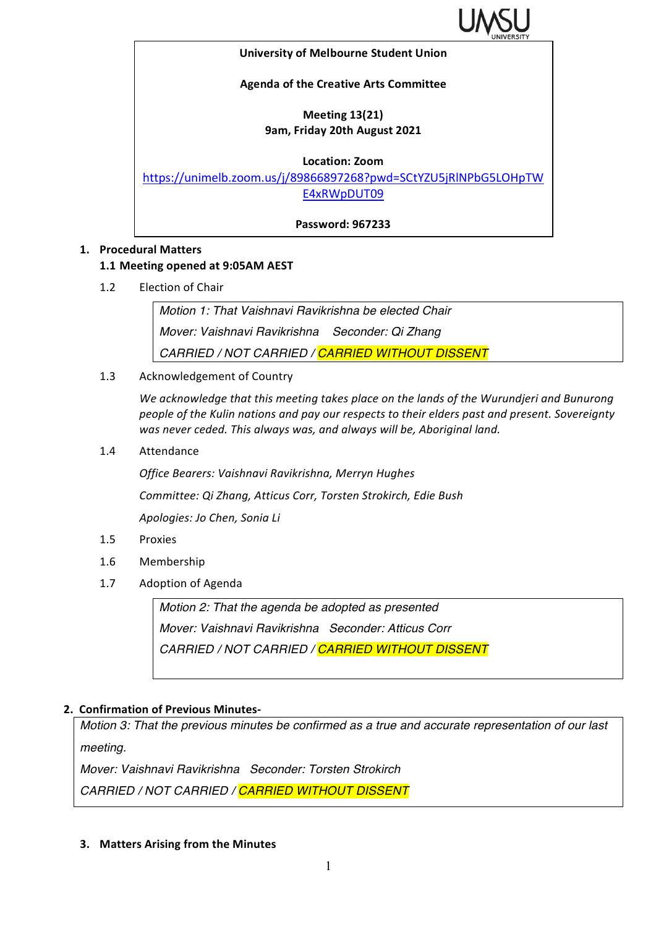

#### **University of Melbourne Student Union**

#### **Agenda of the Creative Arts Committee**

## **Meeting 13(21) 9am, Friday 20th August 2021**

**Location: Zoom**

https://unimelb.zoom.us/j/89866897268?pwd=SCtYZU5jRlNPbG5LOHpTW E4xRWpDUT09

**Password: 967233**

#### **1. Procedural Matters**

### **1.1 Meeting opened at 9:05AM AEST**

1.2 Election of Chair

*Motion 1: That Vaishnavi Ravikrishna be elected Chair Mover: Vaishnavi Ravikrishna Seconder: Qi Zhang CARRIED / NOT CARRIED / CARRIED WITHOUT DISSENT*

1.3 Acknowledgement of Country

We acknowledge that this meeting takes place on the lands of the Wurundjeri and Bunurong people of the Kulin nations and pay our respects to their elders past and present. Sovereignty was never ceded. This always was, and always will be, Aboriginal land.

1.4 Attendance

*Office Bearers: Vaishnavi Ravikrishna, Merryn Hughes Committee: Qi Zhang, Atticus Corr, Torsten Strokirch, Edie Bush Apologies: Jo Chen, Sonia Li*

- 1.5 Proxies
- 1.6 Membership
- 1.7 Adoption of Agenda

*Motion 2: That the agenda be adopted as presented Mover: Vaishnavi Ravikrishna Seconder: Atticus Corr CARRIED / NOT CARRIED / CARRIED WITHOUT DISSENT*

### **2. Confirmation of Previous Minutes-**

*Motion 3: That the previous minutes be confirmed as a true and accurate representation of our last meeting.*

*Mover: Vaishnavi Ravikrishna Seconder: Torsten Strokirch CARRIED / NOT CARRIED / CARRIED WITHOUT DISSENT*

**3.** Matters Arising from the Minutes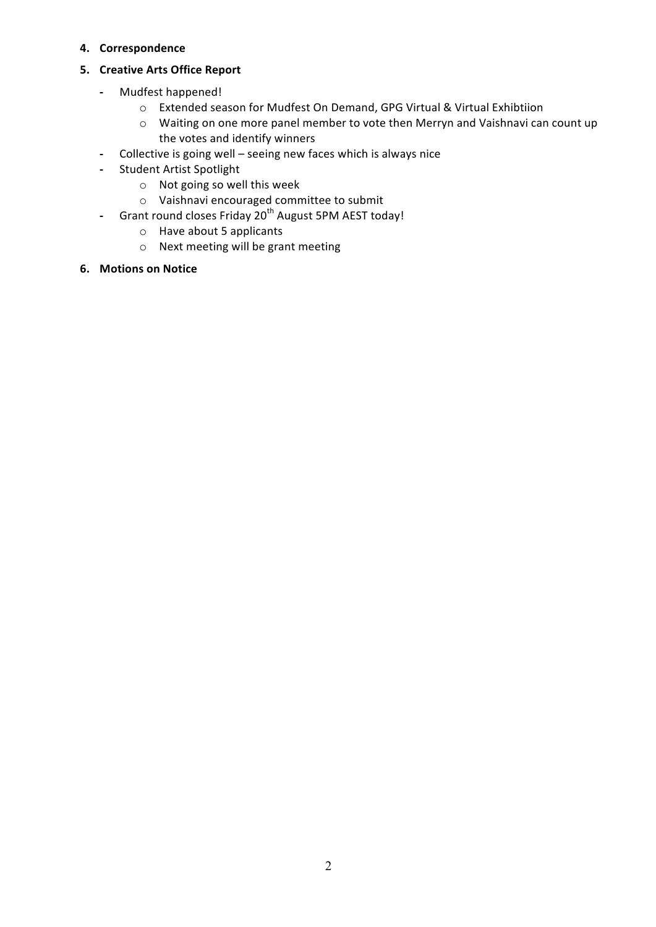#### **4. Correspondence**

### **5. Creative Arts Office Report**

- **-** Mudfest happened!
	- o Extended season for Mudfest On Demand, GPG Virtual & Virtual Exhibtiion
	- o Waiting on one more panel member to vote then Merryn and Vaishnavi can count up the votes and identify winners
- Collective is going well seeing new faces which is always nice
- **-** Student Artist Spotlight
	- $\circ$  Not going so well this week
	- $\circ$  Vaishnavi encouraged committee to submit
- **-** Grant round closes Friday 20<sup>th</sup> August 5PM AEST today!
	- $\circ$  Have about 5 applicants
	- $\circ$  Next meeting will be grant meeting
- **6. Motions on Notice**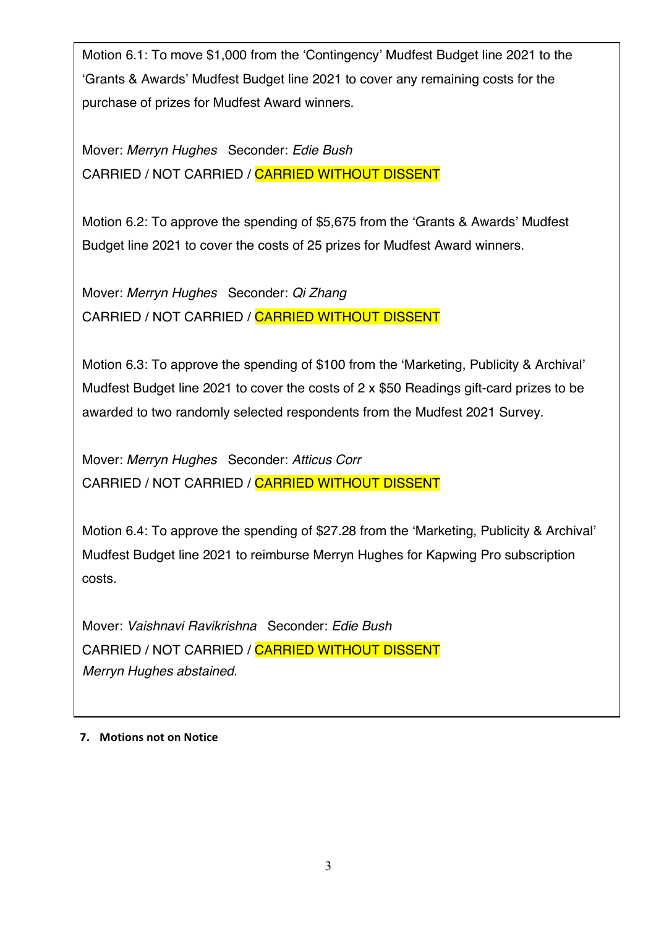Motion 6.1: To move \$1,000 from the 'Contingency' Mudfest Budget line 2021 to the 'Grants & Awards' Mudfest Budget line 2021 to cover any remaining costs for the purchase of prizes for Mudfest Award winners.

Mover: *Merryn Hughes* Seconder: *Edie Bush* CARRIED / NOT CARRIED / CARRIED WITHOUT DISSENT

Motion 6.2: To approve the spending of \$5,675 from the 'Grants & Awards' Mudfest Budget line 2021 to cover the costs of 25 prizes for Mudfest Award winners.

Mover: *Merryn Hughes* Seconder: *Qi Zhang* CARRIED / NOT CARRIED / CARRIED WITHOUT DISSENT

Motion 6.3: To approve the spending of \$100 from the 'Marketing, Publicity & Archival' Mudfest Budget line 2021 to cover the costs of 2 x \$50 Readings gift-card prizes to be awarded to two randomly selected respondents from the Mudfest 2021 Survey.

Mover: *Merryn Hughes* Seconder: *Atticus Corr* CARRIED / NOT CARRIED / CARRIED WITHOUT DISSENT

Motion 6.4: To approve the spending of \$27.28 from the 'Marketing, Publicity & Archival' Mudfest Budget line 2021 to reimburse Merryn Hughes for Kapwing Pro subscription costs.

Mover: *Vaishnavi Ravikrishna* Seconder: *Edie Bush* CARRIED / NOT CARRIED / CARRIED WITHOUT DISSENT *Merryn Hughes abstained.* 

### **7.** Motions not on Notice